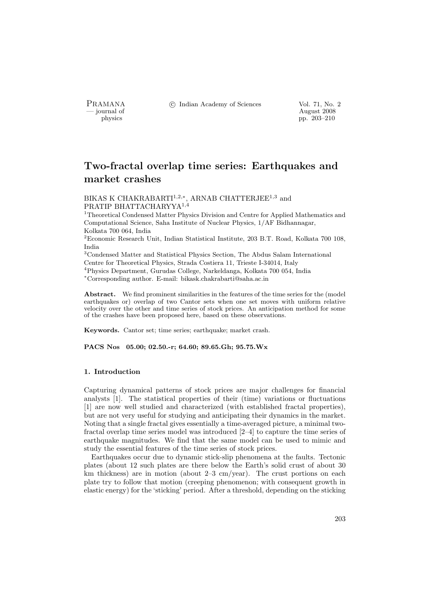PRAMANA °c Indian Academy of Sciences Vol. 71, No. 2

physics and the contract of the contract of the contract of the contract of the contract of the contract of the contract of the contract of the contract of the contract of the contract of the contract of the contract of th pp. 203–210

# Two-fractal overlap time series: Earthquakes and market crashes

BIKAS K CHAKRABARTI $^{1,2,*}$ , ARNAB CHATTERJEE $^{1,3}$  and PRATIP BHATTACHARYYA<sup>1</sup>,<sup>4</sup>

<sup>1</sup>Theoretical Condensed Matter Physics Division and Centre for Applied Mathematics and Computational Science, Saha Institute of Nuclear Physics, 1/AF Bidhannagar, Kolkata 700 064, India

<sup>2</sup>Economic Research Unit, Indian Statistical Institute, 203 B.T. Road, Kolkata 700 108, India

<sup>3</sup>Condensed Matter and Statistical Physics Section, The Abdus Salam International Centre for Theoretical Physics, Strada Costiera 11, Trieste I-34014, Italy <sup>4</sup>Physics Department, Gurudas College, Narkeldanga, Kolkata 700 054, India <sup>∗</sup>Corresponding author. E-mail: bikask.chakrabarti@saha.ac.in

Abstract. We find prominent similarities in the features of the time series for the (model earthquakes or) overlap of two Cantor sets when one set moves with uniform relative velocity over the other and time series of stock prices. An anticipation method for some

Keywords. Cantor set; time series; earthquake; market crash.

of the crashes have been proposed here, based on these observations.

PACS Nos 05.00; 02.50.-r; 64.60; 89.65.Gh; 95.75.Wx

# 1. Introduction

Capturing dynamical patterns of stock prices are major challenges for financial analysts [1]. The statistical properties of their (time) variations or fluctuations [1] are now well studied and characterized (with established fractal properties), but are not very useful for studying and anticipating their dynamics in the market. Noting that a single fractal gives essentially a time-averaged picture, a minimal twofractal overlap time series model was introduced [2–4] to capture the time series of earthquake magnitudes. We find that the same model can be used to mimic and study the essential features of the time series of stock prices.

Earthquakes occur due to dynamic stick-slip phenomena at the faults. Tectonic plates (about 12 such plates are there below the Earth's solid crust of about 30 km thickness) are in motion (about 2–3 cm/year). The crust portions on each plate try to follow that motion (creeping phenomenon; with consequent growth in elastic energy) for the 'sticking' period. After a threshold, depending on the sticking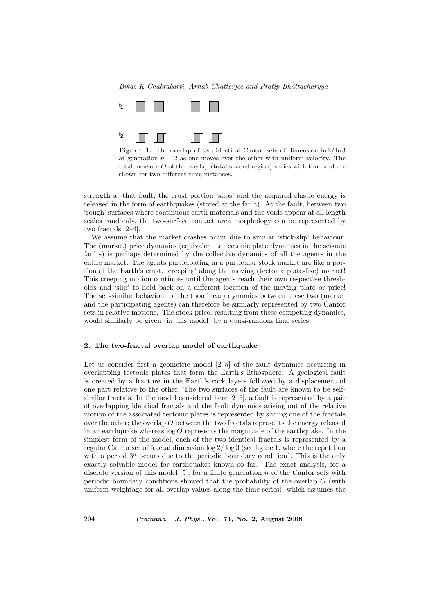## Bikas K Chakrabarti, Arnab Chatterjee and Pratip Bhattacharyya





at generation  $n = 2$  as one moves over the other with uniform velocity. The total measure O of the overlap (total shaded region) varies with time and are shown for two different time instances.

strength at that fault, the crust portion 'slips' and the acquired elastic energy is released in the form of earthquakes (stored at the fault). At the fault, between two 'rough' surfaces where continuous earth materials and the voids appear at all length scales randomly, the two-surface contact area morphology can be represented by two fractals [2–4].

We assume that the market crashes occur due to similar 'stick-slip' behaviour. The (market) price dynamics (equivalent to tectonic plate dynamics in the seismic faults) is perhaps determined by the collective dynamics of all the agents in the entire market. The agents participating in a particular stock market are like a portion of the Earth's crust, 'creeping' along the moving (tectonic plate-like) market! This creeping motion continues until the agents reach their own respective thresholds and 'slip' to hold back on a different location of the moving plate or price! The self-similar behaviour of the (nonlinear) dynamics between these two (market and the participating agents) can therefore be similarly represented by two Cantor sets in relative motions. The stock price, resulting from these competing dynamics, would similarly be given (in this model) by a quasi-random time series.

# 2. The two-fractal overlap model of earthquake

Let us consider first a geometric model [2–5] of the fault dynamics occurring in overlapping tectonic plates that form the Earth's lithosphere. A geological fault is created by a fracture in the Earth's rock layers followed by a displacement of one part relative to the other. The two surfaces of the fault are known to be selfsimilar fractals. In the model considered here [2–5], a fault is represented by a pair of overlapping identical fractals and the fault dynamics arising out of the relative motion of the associated tectonic plates is represented by sliding one of the fractals over the other; the overlap  $O$  between the two fractals represents the energy released in an earthquake whereas  $\log O$  represents the magnitude of the earthquake. In the simplest form of the model, each of the two identical fractals is represented by a regular Cantor set of fractal dimension  $\log 2/\log 3$  (see figure 1, where the repetition with a period  $3^n$  occurs due to the periodic boundary condition). This is the only exactly solvable model for earthquakes known so far. The exact analysis, for a discrete version of this model  $[5]$ , for a finite generation  $n$  of the Cantor sets with periodic boundary conditions showed that the probability of the overlap O (with uniform weightage for all overlap values along the time series), which assumes the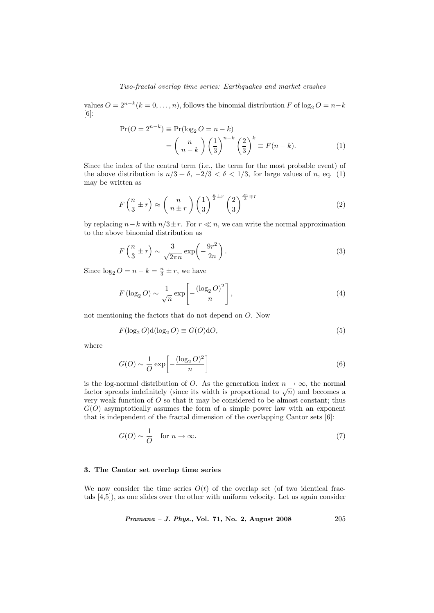#### Two-fractal overlap time series: Earthquakes and market crashes

values  $O = 2^{n-k} (k = 0, \ldots, n)$ , follows the binomial distribution F of  $\log_2 O = n - k$ [6]:

$$
\Pr(O = 2^{n-k}) \equiv \Pr(\log_2 O = n - k)
$$

$$
= {n \choose n-k} \left(\frac{1}{3}\right)^{n-k} \left(\frac{2}{3}\right)^k \equiv F(n-k). \tag{1}
$$

Since the index of the central term (i.e., the term for the most probable event) of the above distribution is  $n/3 + \delta$ ,  $-2/3 < \delta < 1/3$ , for large values of n, eq. (1) may be written as

$$
F\left(\frac{n}{3}\pm r\right) \approx \left(\begin{array}{c}n\\n\pm r\end{array}\right) \left(\frac{1}{3}\right)^{\frac{n}{3}\pm r} \left(\frac{2}{3}\right)^{\frac{2n}{3}\mp r} \tag{2}
$$

by replacing  $n-k$  with  $n/3\pm r$ . For  $r \ll n$ , we can write the normal approximation to the above binomial distribution as

$$
F\left(\frac{n}{3} \pm r\right) \sim \frac{3}{\sqrt{2\pi n}} \exp\left(-\frac{9r^2}{2n}\right). \tag{3}
$$

Since  $\log_2 O = n - k = \frac{n}{3} \pm r$ , we have

$$
F(\log_2 O) \sim \frac{1}{\sqrt{n}} \exp\left[-\frac{(\log_2 O)^2}{n}\right],\tag{4}
$$

not mentioning the factors that do not depend on O. Now

$$
F(\log_2 O)\mathbf{d}(\log_2 O) \equiv G(O)\mathbf{d}O,\tag{5}
$$

where

$$
G(O) \sim \frac{1}{O} \exp\left[-\frac{(\log_2 O)^2}{n}\right]
$$
 (6)

is the log-normal distribution of O. As the generation index  $n \to \infty$ , the normal is the log-hormal distribution of O. As the generation matrix  $n \to \infty$ , the normal factor spreads indefinitely (since its width is proportional to  $\sqrt{n}$ ) and becomes a very weak function of  $O$  so that it may be considered to be almost constant; thus  $G(O)$  asymptotically assumes the form of a simple power law with an exponent that is independent of the fractal dimension of the overlapping Cantor sets [6]:

$$
G(O) \sim \frac{1}{O} \quad \text{for } n \to \infty. \tag{7}
$$

#### 3. The Cantor set overlap time series

We now consider the time series  $O(t)$  of the overlap set (of two identical fractals [4,5]), as one slides over the other with uniform velocity. Let us again consider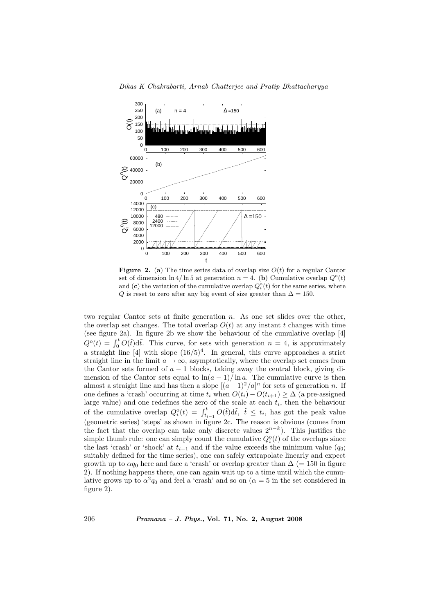Bikas K Chakrabarti, Arnab Chatterjee and Pratip Bhattacharyya



**Figure 2.** (a) The time series data of overlap size  $O(t)$  for a regular Cantor set of dimension  $\ln 4/\ln 5$  at generation  $n = 4$ . (b) Cumulative overlap  $Q^{\circ}(t)$ and (c) the variation of the cumulative overlap  $Q_i^{\circ}(t)$  for the same series, where Q is reset to zero after any big event of size greater than  $\Delta = 150$ .

two regular Cantor sets at finite generation  $n$ . As one set slides over the other, the overlap set changes. The total overlap  $O(t)$  at any instant t changes with time (see figure 2a). In figure 2b we show the behaviour of the cumulative overlap [4] (see iighte za). In figure 25 we show the behaviour of the cumulative overlap [4]<br> $Q^{\circ}(t) = \int_0^t O(\tilde{t}) d\tilde{t}$ . This curve, for sets with generation  $n = 4$ , is approximately a straight line [4] with slope  $(16/5)^4$ . In general, this curve approaches a strict straight line in the limit  $a \to \infty$ , asymptotically, where the overlap set comes from the Cantor sets formed of  $a - 1$  blocks, taking away the central block, giving dimension of the Cantor sets equal to  $\ln(a-1)/\ln a$ . The cumulative curve is then almost a straight line and has then a slope  $[(a-1)^2/a]^n$  for sets of generation n. If one defines a 'crash' occurring at time  $t_i$  when  $O(t_i)-O(t_{i+1}) \geq \Delta$  (a pre-assigned large value) and one redefines the zero of the scale at each  $t_i$ , then the behaviour the cumulative overlap  $Q_i^{\circ}(t) = \int_{t_{i-1}}^t O(\tilde{t}) d\tilde{t}$ ,  $\tilde{t} \leq t_i$ , has got the peak value (geometric series) 'steps' as shown in figure 2c. The reason is obvious (comes from the fact that the overlap can take only discrete values  $2^{n-k}$ ). This justifies the simple thumb rule: one can simply count the cumulative  $Q_i^{\circ}(t)$  of the overlaps since the last 'crash' or 'shock' at  $t_{i-1}$  and if the value exceeds the minimum value ( $q_0$ ; suitably defined for the time series), one can safely extrapolate linearly and expect growth up to  $\alpha q_0$  here and face a 'crash' or overlap greater than  $\Delta$  (= 150 in figure 2). If nothing happens there, one can again wait up to a time until which the cumulative grows up to  $\alpha^2 q_0$  and feel a 'crash' and so on  $(\alpha = 5$  in the set considered in figure 2).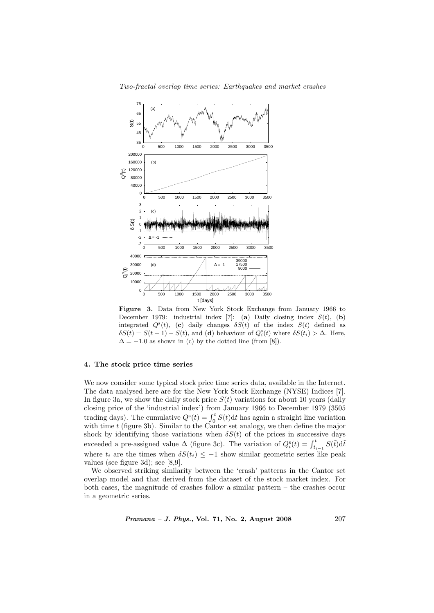



Figure 3. Data from New York Stock Exchange from January 1966 to December 1979: industrial index [7]: (a) Daily closing index  $S(t)$ , (b) integrated  $Q^{s}(t)$ , (c) daily changes  $\delta S(t)$  of the index  $S(t)$  defined as  $\delta S(t) = S(t+1) - S(t)$ , and (d) behaviour of  $Q_i^s(t)$  where  $\delta S(t_i) > \Delta$ . Here,  $\Delta = -1.0$  as shown in (c) by the dotted line (from [8]).

# 4. The stock price time series

We now consider some typical stock price time series data, available in the Internet. The data analysed here are for the New York Stock Exchange (NYSE) Indices [7]. In figure 3a, we show the daily stock price  $S(t)$  variations for about 10 years (daily closing price of the 'industrial index') from January 1966 to December 1979 (3505 trading days). The cumulative  $Q^{s}(t) = \int_0^t S(t) dt$  has again a straight line variation with time  $t$  (figure 3b). Similar to the Cantor set analogy, we then define the major shock by identifying those variations when  $\delta S(t)$  of the prices in successive days exceeded a pre-assigned value  $\Delta$  (figure 3c). The variation of  $Q_i^s(t) = \int_{t_{i-1}}^t S(\tilde{t}) d\tilde{t}$ where  $t_i$  are the times when  $\delta S(t_i) \leq -1$  show similar geometric series like peak values (see figure 3d); see [8,9].

We observed striking similarity between the 'crash' patterns in the Cantor set overlap model and that derived from the dataset of the stock market index. For both cases, the magnitude of crashes follow a similar pattern – the crashes occur in a geometric series.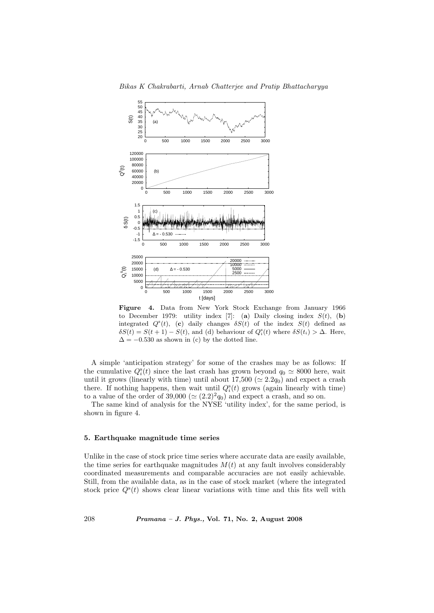

Bikas K Chakrabarti, Arnab Chatterjee and Pratip Bhattacharyya

Figure 4. Data from New York Stock Exchange from January 1966 to December 1979: utility index [7]: (a) Daily closing index  $S(t)$ , (b) integrated  $Q^{s}(t)$ , (c) daily changes  $\delta S(t)$  of the index  $S(t)$  defined as  $\delta S(t) = S(t+1) - S(t)$ , and (d) behaviour of  $Q_i^s(t)$  where  $\delta S(t_i) > \Delta$ . Here,  $\Delta = -0.530$  as shown in (c) by the dotted line.

A simple 'anticipation strategy' for some of the crashes may be as follows: If the cumulative  $Q_i^s(t)$  since the last crash has grown beyond  $q_0 \simeq 8000$  here, wait until it grows (linearly with time) until about  $17,500 \ (\simeq 2.2q_0)$  and expect a crash there. If nothing happens, then wait until  $Q_i^s(t)$  grows (again linearly with time) to a value of the order of 39,000 ( $\simeq (2.2)^2 q_0$ ) and expect a crash, and so on.

The same kind of analysis for the NYSE 'utility index', for the same period, is shown in figure 4.

### 5. Earthquake magnitude time series

Unlike in the case of stock price time series where accurate data are easily available, the time series for earthquake magnitudes  $M(t)$  at any fault involves considerably coordinated measurements and comparable accuracies are not easily achievable. Still, from the available data, as in the case of stock market (where the integrated stock price  $Q^s(t)$  shows clear linear variations with time and this fits well with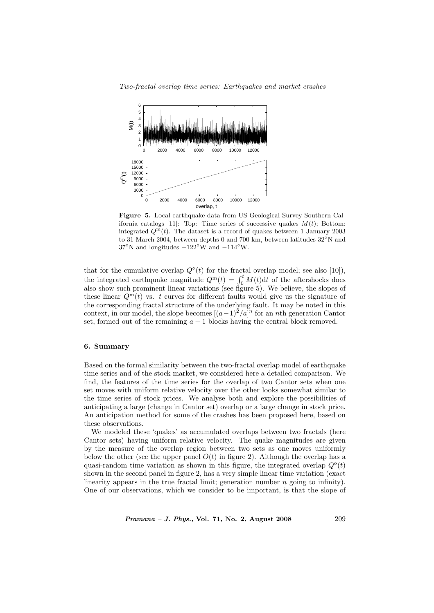Two-fractal overlap time series: Earthquakes and market crashes



Figure 5. Local earthquake data from US Geological Survey Southern California catalogs [11]: Top: Time series of successive quakes  $M(t)$ ; Bottom: integrated  $Q^m(t)$ . The dataset is a record of quakes between 1 January 2003 to 31 March 2004, between depths 0 and 700 km, between latitudes 32◦N and  $37°$ N and longitudes  $-122°$ W and  $-114°$ W.

that for the cumulative overlap  $Q^{\circ}(t)$  for the fractal overlap model; see also [10]), that for the cumulative overlap  $Q(t)$  for the fractial overlap model, see also [10]),<br>the integrated earthquake magnitude  $Q^{m}(t) = \int_{0}^{t} M(t) dt$  of the aftershocks does also show such prominent linear variations (see figure 5). We believe, the slopes of these linear  $Q^m(t)$  vs. t curves for different faults would give us the signature of the corresponding fractal structure of the underlying fault. It may be noted in this context, in our model, the slope becomes  $[(a-1)^2/a]^n$  for an nth generation Cantor set, formed out of the remaining  $a - 1$  blocks having the central block removed.

# 6. Summary

Based on the formal similarity between the two-fractal overlap model of earthquake time series and of the stock market, we considered here a detailed comparison. We find, the features of the time series for the overlap of two Cantor sets when one set moves with uniform relative velocity over the other looks somewhat similar to the time series of stock prices. We analyse both and explore the possibilities of anticipating a large (change in Cantor set) overlap or a large change in stock price. An anticipation method for some of the crashes has been proposed here, based on these observations.

We modeled these 'quakes' as accumulated overlaps between two fractals (here Cantor sets) having uniform relative velocity. The quake magnitudes are given by the measure of the overlap region between two sets as one moves uniformly below the other (see the upper panel  $O(t)$  in figure 2). Although the overlap has a quasi-random time variation as shown in this figure, the integrated overlap  $Q^{\circ}(t)$ shown in the second panel in figure 2, has a very simple linear time variation (exact linearity appears in the true fractal limit; generation number  $n$  going to infinity). One of our observations, which we consider to be important, is that the slope of